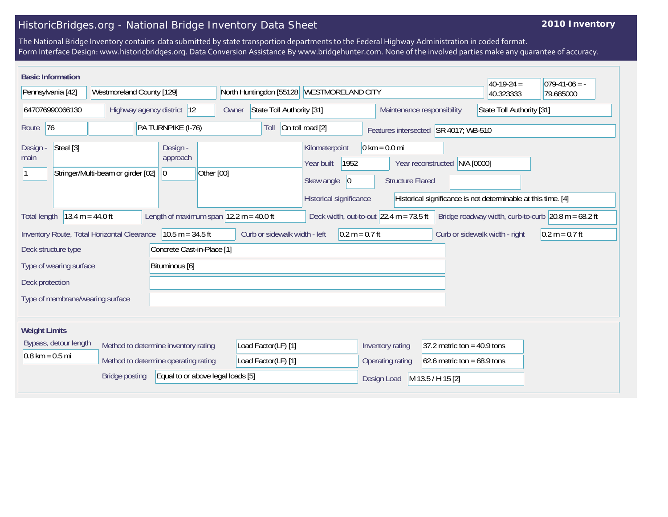## HistoricBridges.org - National Bridge Inventory Data Sheet

## **2010 Inventory**

The National Bridge Inventory contains data submitted by state transportion departments to the Federal Highway Administration in coded format. Form Interface Design: www.historicbridges.org. Data Conversion Assistance By www.bridgehunter.com. None of the involved parties make any guarantee of accuracy.

| <b>Basic Information</b><br>Pennsylvania [42]                                                                                                                                                                                                                                                         | Westmoreland County [129]            |                                           | North Huntingdon [55128]                                | WESTMORELAND CITY                                                                            |                                                            |                                                                | $40-19-24 =$<br>40.323333      | $ 079-41-06 = -$<br>79.685000 |
|-------------------------------------------------------------------------------------------------------------------------------------------------------------------------------------------------------------------------------------------------------------------------------------------------------|--------------------------------------|-------------------------------------------|---------------------------------------------------------|----------------------------------------------------------------------------------------------|------------------------------------------------------------|----------------------------------------------------------------|--------------------------------|-------------------------------|
| 647076990066130<br>Highway agency district 12                                                                                                                                                                                                                                                         |                                      | Owner                                     | State Toll Authority [31]<br>Maintenance responsibility |                                                                                              |                                                            | State Toll Authority [31]                                      |                                |                               |
| 76<br>PA TURNPIKE (I-76)<br>Route                                                                                                                                                                                                                                                                     |                                      | Toll                                      | On toll road [2]                                        | Features intersected SR 4017; WB-510                                                         |                                                            |                                                                |                                |                               |
| Steel [3]<br>Design -<br>main                                                                                                                                                                                                                                                                         | Stringer/Multi-beam or girder [02]   | Design -<br>approach<br> 0 <br>Other [00] |                                                         | Kilometerpoint<br>1952<br>Year built<br>Skew angle<br>$ 0\rangle$<br>Historical significance | $0 \text{ km} = 0.0 \text{ mi}$<br><b>Structure Flared</b> | N/A [0000]<br>Year reconstructed                               |                                |                               |
| Historical significance is not determinable at this time. [4]<br>Length of maximum span $ 12.2 \text{ m} = 40.0 \text{ ft} $<br>$13.4 m = 44.0 ft$<br>Bridge roadway width, curb-to-curb $\vert$ 20.8 m = 68.2 ft<br>Deck width, out-to-out $22.4 \text{ m} = 73.5 \text{ ft}$<br><b>Total length</b> |                                      |                                           |                                                         |                                                                                              |                                                            |                                                                |                                |                               |
| Inventory Route, Total Horizontal Clearance                                                                                                                                                                                                                                                           |                                      | $10.5 m = 34.5 ft$                        | Curb or sidewalk width - left                           | $0.2 m = 0.7 ft$                                                                             |                                                            |                                                                | Curb or sidewalk width - right | $0.2 m = 0.7 ft$              |
| Concrete Cast-in-Place [1]<br>Deck structure type                                                                                                                                                                                                                                                     |                                      |                                           |                                                         |                                                                                              |                                                            |                                                                |                                |                               |
| Type of wearing surface<br>Bituminous [6]                                                                                                                                                                                                                                                             |                                      |                                           |                                                         |                                                                                              |                                                            |                                                                |                                |                               |
| Deck protection<br>Type of membrane/wearing surface                                                                                                                                                                                                                                                   |                                      |                                           |                                                         |                                                                                              |                                                            |                                                                |                                |                               |
| <b>Weight Limits</b>                                                                                                                                                                                                                                                                                  |                                      |                                           |                                                         |                                                                                              |                                                            |                                                                |                                |                               |
| Bypass, detour length<br>$0.8 \text{ km} = 0.5 \text{ mi}$                                                                                                                                                                                                                                            | Method to determine inventory rating | Method to determine operating rating      | Load Factor(LF) [1]<br>Load Factor(LF) [1]              |                                                                                              | Inventory rating<br>Operating rating                       | 37.2 metric ton = $40.9$ tons<br>$62.6$ metric ton = 68.9 tons |                                |                               |
|                                                                                                                                                                                                                                                                                                       | <b>Bridge posting</b>                | Equal to or above legal loads [5]         |                                                         |                                                                                              | Design Load                                                | M 13.5 / H 15 [2]                                              |                                |                               |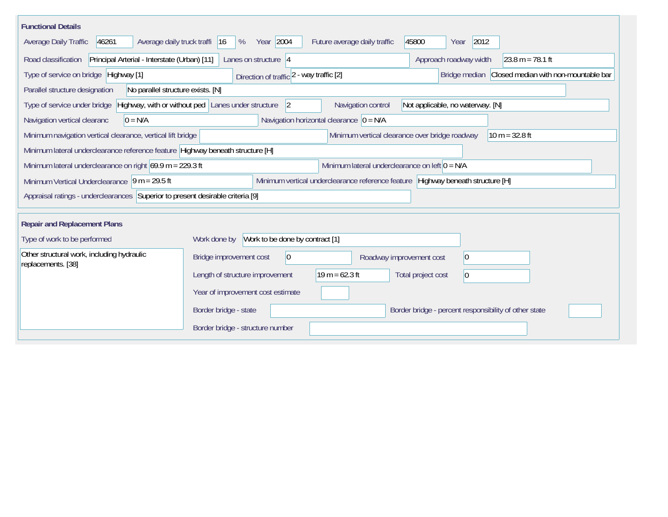| <b>Functional Details</b>                                           |                                                                                                                          |  |  |  |  |  |  |
|---------------------------------------------------------------------|--------------------------------------------------------------------------------------------------------------------------|--|--|--|--|--|--|
| 46261<br>Average daily truck traffi 16<br>Average Daily Traffic     | Year 2004<br>2012<br>Future average daily traffic<br>45800<br>%<br>Year                                                  |  |  |  |  |  |  |
| Road classification                                                 | Principal Arterial - Interstate (Urban) [11]<br>Approach roadway width<br>Lanes on structure $ 4 $<br>$23.8 m = 78.1 ft$ |  |  |  |  |  |  |
| Type of service on bridge Highway [1]                               | Bridge median Closed median with non-mountable bar<br>Direction of traffic 2 - way traffic [2]                           |  |  |  |  |  |  |
| Parallel structure designation<br>No parallel structure exists. [N] |                                                                                                                          |  |  |  |  |  |  |
| Type of service under bridge                                        | Highway, with or without ped Lanes under structure<br> 2 <br>Navigation control<br>Not applicable, no waterway. [N]      |  |  |  |  |  |  |
| Navigation vertical clearanc<br>$0 = N/A$                           | Navigation horizontal clearance $ 0 = N/A $                                                                              |  |  |  |  |  |  |
| Minimum navigation vertical clearance, vertical lift bridge         | Minimum vertical clearance over bridge roadway<br>$10 m = 32.8 ft$                                                       |  |  |  |  |  |  |
|                                                                     | Minimum lateral underclearance reference feature Highway beneath structure [H]                                           |  |  |  |  |  |  |
|                                                                     | Minimum lateral underclearance on left $0 = N/A$<br>Minimum lateral underclearance on right $69.9$ m = 229.3 ft          |  |  |  |  |  |  |
| Minimum Vertical Underclearance $ 9 m = 29.5 ft$                    | Minimum vertical underclearance reference feature Highway beneath structure [H]                                          |  |  |  |  |  |  |
|                                                                     | Appraisal ratings - underclearances Superior to present desirable criteria [9]                                           |  |  |  |  |  |  |
|                                                                     |                                                                                                                          |  |  |  |  |  |  |
| <b>Repair and Replacement Plans</b>                                 |                                                                                                                          |  |  |  |  |  |  |
| Type of work to be performed                                        | Work to be done by contract [1]<br>Work done by                                                                          |  |  |  |  |  |  |
| Other structural work, including hydraulic<br>replacements. [38]    | $ 0\rangle$<br>Bridge improvement cost<br>$ 0\rangle$<br>Roadway improvement cost                                        |  |  |  |  |  |  |
|                                                                     | $19 m = 62.3 ft$<br>Length of structure improvement<br>Total project cost<br>$ 0\rangle$                                 |  |  |  |  |  |  |
|                                                                     | Year of improvement cost estimate                                                                                        |  |  |  |  |  |  |
|                                                                     | Border bridge - state<br>Border bridge - percent responsibility of other state                                           |  |  |  |  |  |  |
|                                                                     | Border bridge - structure number                                                                                         |  |  |  |  |  |  |